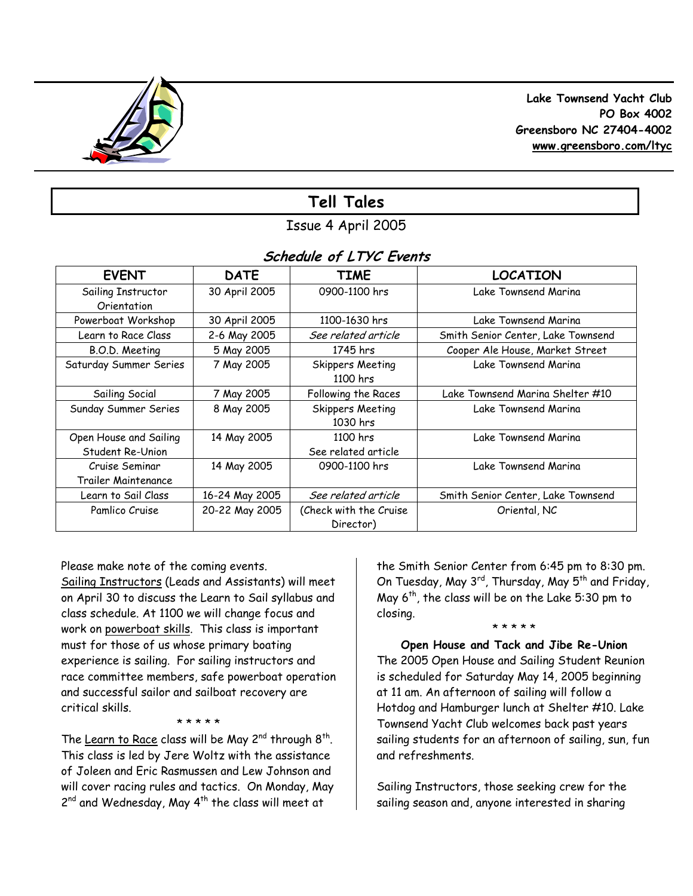

 **Lake Townsend Yacht Club PO Box 4002 Greensboro NC 27404-4002 www.greensboro.com/ltyc** 

# **Tell Tales**

Issue 4 April 2005

## **Schedule of LTYC Events**

| <b>EVENT</b>           | <b>DATE</b>    | <b>TIME</b>             | <b>LOCATION</b>                    |
|------------------------|----------------|-------------------------|------------------------------------|
| Sailing Instructor     | 30 April 2005  | 0900-1100 hrs           | Lake Townsend Marina               |
| Orientation            |                |                         |                                    |
| Powerboat Workshop     | 30 April 2005  | 1100-1630 hrs           | Lake Townsend Marina               |
| Learn to Race Class    | 2-6 May 2005   | See related article     | Smith Senior Center, Lake Townsend |
| B.O.D. Meeting         | 5 May 2005     | 1745 hrs                | Cooper Ale House, Market Street    |
| Saturday Summer Series | 7 May 2005     | Skippers Meeting        | Lake Townsend Marina               |
|                        |                | 1100 hrs                |                                    |
| Sailing Social         | 7 May 2005     | Following the Races     | Lake Townsend Marina Shelter #10   |
| Sunday Summer Series   | 8 May 2005     | <b>Skippers Meeting</b> | Lake Townsend Marina               |
|                        |                | 1030 hrs                |                                    |
| Open House and Sailing | 14 May 2005    | 1100 hrs                | Lake Townsend Marina               |
| Student Re-Union       |                | See related article     |                                    |
| Cruise Seminar         | 14 May 2005    | 0900-1100 hrs           | Lake Townsend Marina               |
| Trailer Maintenance    |                |                         |                                    |
| Learn to Sail Class    | 16-24 May 2005 | See related article     | Smith Senior Center, Lake Townsend |
| Pamlico Cruise         | 20-22 May 2005 | (Check with the Cruise  | Oriental, NC                       |
|                        |                | Director)               |                                    |

Please make note of the coming events. Sailing Instructors (Leads and Assistants) will meet on April 30 to discuss the Learn to Sail syllabus and class schedule. At 1100 we will change focus and work on powerboat skills. This class is important must for those of us whose primary boating experience is sailing. For sailing instructors and race committee members, safe powerboat operation and successful sailor and sailboat recovery are critical skills.

#### \* \* \* \* \*

The Learn to Race class will be May  $2^{nd}$  through  $8^{th}$ . This class is led by Jere Woltz with the assistance of Joleen and Eric Rasmussen and Lew Johnson and will cover racing rules and tactics. On Monday, May 2<sup>nd</sup> and Wednesday, May 4<sup>th</sup> the class will meet at

the Smith Senior Center from 6:45 pm to 8:30 pm. On Tuesday, May 3<sup>rd</sup>, Thursday, May 5<sup>th</sup> and Friday, May  $6^{th}$ , the class will be on the Lake 5:30 pm to closing. \* \* \* \* \*

**Open House and Tack and Jibe Re-Union**  The 2005 Open House and Sailing Student Reunion is scheduled for Saturday May 14, 2005 beginning at 11 am. An afternoon of sailing will follow a Hotdog and Hamburger lunch at Shelter #10. Lake Townsend Yacht Club welcomes back past years sailing students for an afternoon of sailing, sun, fun and refreshments.

Sailing Instructors, those seeking crew for the sailing season and, anyone interested in sharing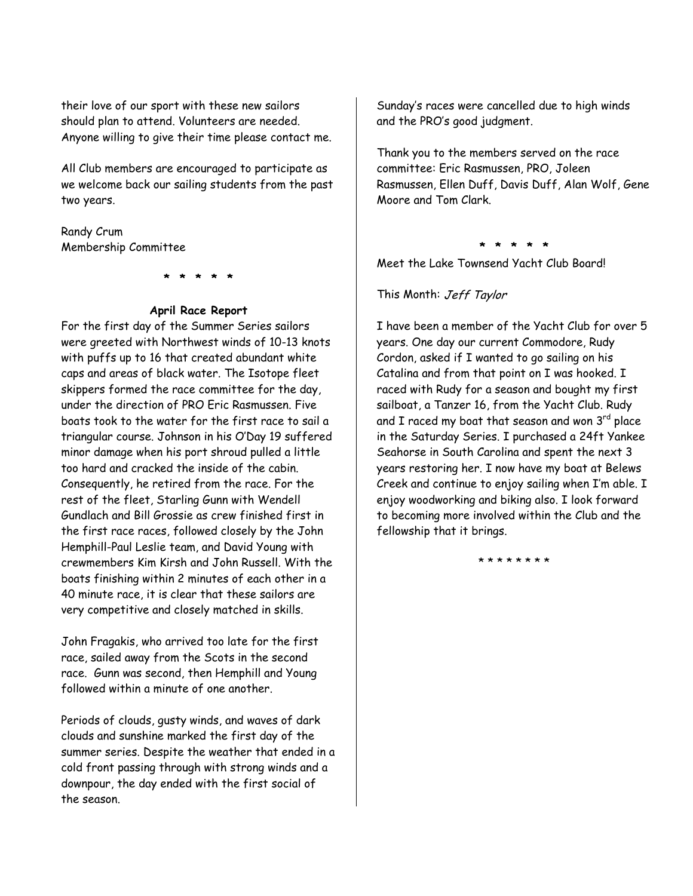their love of our sport with these new sailors should plan to attend. Volunteers are needed. Anyone willing to give their time please contact me.

All Club members are encouraged to participate as we welcome back our sailing students from the past two years.

### Randy Crum Membership Committee

**\* \* \* \* \*** 

#### **April Race Report**

For the first day of the Summer Series sailors were greeted with Northwest winds of 10-13 knots with puffs up to 16 that created abundant white caps and areas of black water. The Isotope fleet skippers formed the race committee for the day, under the direction of PRO Eric Rasmussen. Five boats took to the water for the first race to sail a triangular course. Johnson in his O'Day 19 suffered minor damage when his port shroud pulled a little too hard and cracked the inside of the cabin. Consequently, he retired from the race. For the rest of the fleet, Starling Gunn with Wendell Gundlach and Bill Grossie as crew finished first in the first race races, followed closely by the John Hemphill-Paul Leslie team, and David Young with crewmembers Kim Kirsh and John Russell. With the boats finishing within 2 minutes of each other in a 40 minute race, it is clear that these sailors are very competitive and closely matched in skills.

John Fragakis, who arrived too late for the first race, sailed away from the Scots in the second race. Gunn was second, then Hemphill and Young followed within a minute of one another.

Periods of clouds, gusty winds, and waves of dark clouds and sunshine marked the first day of the summer series. Despite the weather that ended in a cold front passing through with strong winds and a downpour, the day ended with the first social of the season.

Sunday's races were cancelled due to high winds and the PRO's good judgment.

Thank you to the members served on the race committee: Eric Rasmussen, PRO, Joleen Rasmussen, Ellen Duff, Davis Duff, Alan Wolf, Gene Moore and Tom Clark.

**\* \* \* \* \*** 

Meet the Lake Townsend Yacht Club Board!

This Month: Jeff Taylor

I have been a member of the Yacht Club for over 5 years. One day our current Commodore, Rudy Cordon, asked if I wanted to go sailing on his Catalina and from that point on I was hooked. I raced with Rudy for a season and bought my first sailboat, a Tanzer 16, from the Yacht Club. Rudy and I raced my boat that season and won  $3<sup>rd</sup>$  place in the Saturday Series. I purchased a 24ft Yankee Seahorse in South Carolina and spent the next 3 years restoring her. I now have my boat at Belews Creek and continue to enjoy sailing when I'm able. I enjoy woodworking and biking also. I look forward to becoming more involved within the Club and the fellowship that it brings.

\* \* \* \* \* \* \*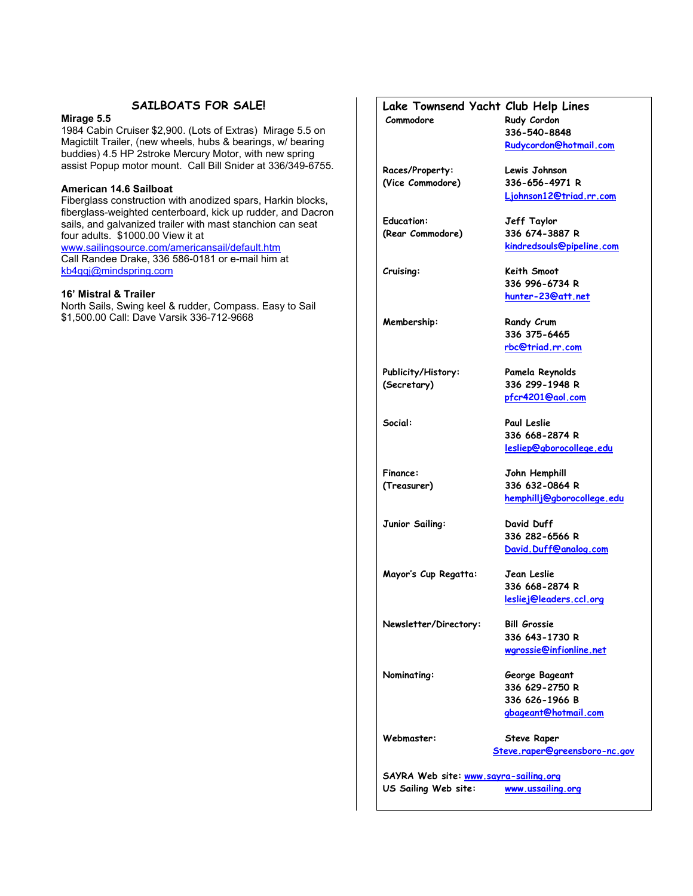## **SAILBOATS FOR SALE!**

#### **Mirage 5.5**

1984 Cabin Cruiser \$2,900. (Lots of Extras) Mirage 5.5 on Magictilt Trailer, (new wheels, hubs & bearings, w/ bearing buddies) 4.5 HP 2stroke Mercury Motor, with new spring assist Popup motor mount. Call Bill Snider at 336/349-6755.

#### **American 14.6 Sailboat**

Fiberglass construction with anodized spars, Harkin blocks, fiberglass-weighted centerboard, kick up rudder, and Dacron sails, and galvanized trailer with mast stanchion can seat four adults. \$1000.00 View it at

www.sailingsource.com/americansail/default.htm Call Randee Drake, 336 586-0181 or e-mail him at kb4qqj@mindspring.com

#### **16' Mistral & Trailer**

North Sails, Swing keel & rudder, Compass. Easy to Sail \$1,500.00 Call: Dave Varsik 336-712-9668

## **Lake Townsend Yacht Club Help Lines**

**Commodore Rudy Cordon 336-540-8848 Rudycordon@hotmail.com**

 **Ljohnson12@triad.rr.com**

 **kindredsouls@pipeline.com**

 **336 996-6734 R hunter-23@att.net** 

 **336 375-6465 rbc@triad.rr.com** 

 **pfcr4201@aol.com** 

 **336 668-2874 R lesliep@gborocollege.edu** 

 **336 282-6566 R David.Duff@analog.com** 

 **336 668-2874 R lesliej@leaders.ccl.org**

 **336 643-1730 R wgrossie@infionline.net** 

 **hemphillj@gborocollege.edu**

**Races/Property: Lewis Johnson (Vice Commodore) 336-656-4971 R** 

**Education: Jeff Taylor (Rear Commodore) 336 674-3887 R** 

**Cruising: Keith Smoot** 

**Membership:** Randy Crum

**Publicity/History: Pamela Reynolds (Secretary) 336 299-1948 R** 

**Social: Paul Leslie** 

**Finance: John Hemphill (Treasurer) 336 632-0864 R** 

**Junior Sailing: David Duff** 

**Mayor's Cup Regatta: Jean Leslie** 

**Newsletter/Directory: Bill Grossie** 

**Nominating: George Bageant 336 629-2750 R 336 626-1966 B gbageant@hotmail.com** 

**Webmaster: Steve Raper Steve.raper@greensboro-nc.gov** 

**SAYRA Web site: www.sayra-sailing.org US Sailing Web site: www.ussailing.org**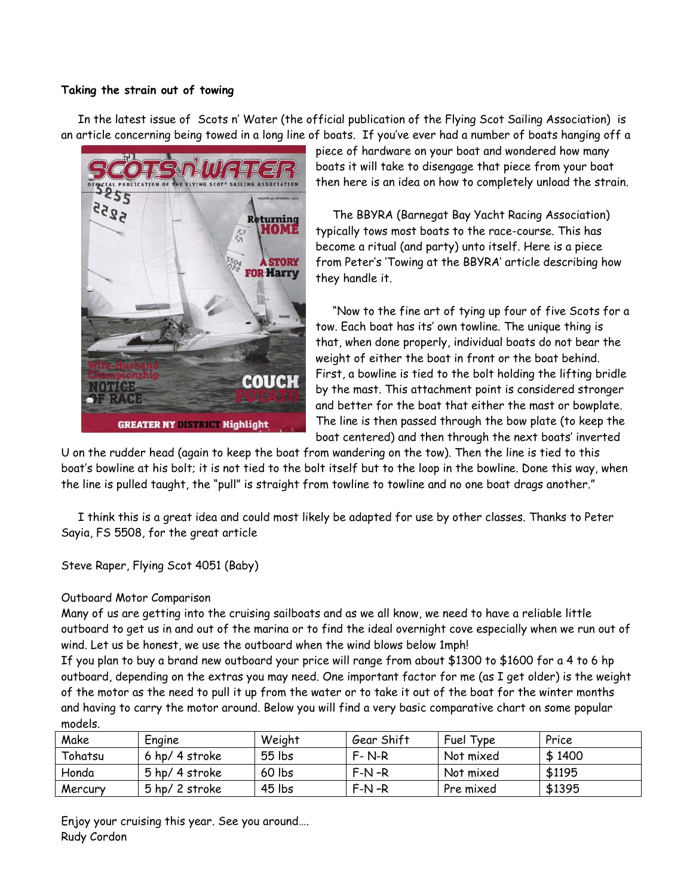### **Taking the strain out of towing**

 In the latest issue of Scots n' Water (the official publication of the Flying Scot Sailing Association) is an article concerning being towed in a long line of boats. If you've ever had a number of boats hanging off a



piece of hardware on your boat and wondered how many boats it will take to disengage that piece from your boat then here is an idea on how to completely unload the strain.

 The BBYRA (Barnegat Bay Yacht Racing Association) typically tows most boats to the race-course. This has become a ritual (and party) unto itself. Here is a piece from Peter's 'Towing at the BBYRA' article describing how they handle it.

 "Now to the fine art of tying up four of five Scots for a tow. Each boat has its' own towline. The unique thing is that, when done properly, individual boats do not bear the weight of either the boat in front or the boat behind. First, a bowline is tied to the bolt holding the lifting bridle by the mast. This attachment point is considered stronger and better for the boat that either the mast or bowplate. The line is then passed through the bow plate (to keep the boat centered) and then through the next boats' inverted

U on the rudder head (again to keep the boat from wandering on the tow). Then the line is tied to this boat's bowline at his bolt; it is not tied to the bolt itself but to the loop in the bowline. Done this way, when the line is pulled taught, the "pull" is straight from towline to towline and no one boat drags another."

 I think this is a great idea and could most likely be adapted for use by other classes. Thanks to Peter Sayia, FS 5508, for the great article

Steve Raper, Flying Scot 4051 (Baby)

## Outboard Motor Comparison

Many of us are getting into the cruising sailboats and as we all know, we need to have a reliable little outboard to get us in and out of the marina or to find the ideal overnight cove especially when we run out of wind. Let us be honest, we use the outboard when the wind blows below 1mph!

If you plan to buy a brand new outboard your price will range from about \$1300 to \$1600 for a 4 to 6 hp outboard, depending on the extras you may need. One important factor for me (as I get older) is the weight of the motor as the need to pull it up from the water or to take it out of the boat for the winter months and having to carry the motor around. Below you will find a very basic comparative chart on some popular models.

| Make    | Engine         | Weight   | Gear Shift  | Fuel Type | Price  |
|---------|----------------|----------|-------------|-----------|--------|
| Tohatsu | 6 hp/ 4 stroke | $55$ lbs | $F - N - R$ | Not mixed | \$1400 |
| Honda   | 5 hp/ 4 stroke | 60 lbs   | $F-N-R$     | Not mixed | \$1195 |
| Mercury | 5 hp/ 2 stroke | 45 lbs   | $F-N-R$     | Pre mixed | \$1395 |

Enjoy your cruising this year. See you around…. Rudy Cordon